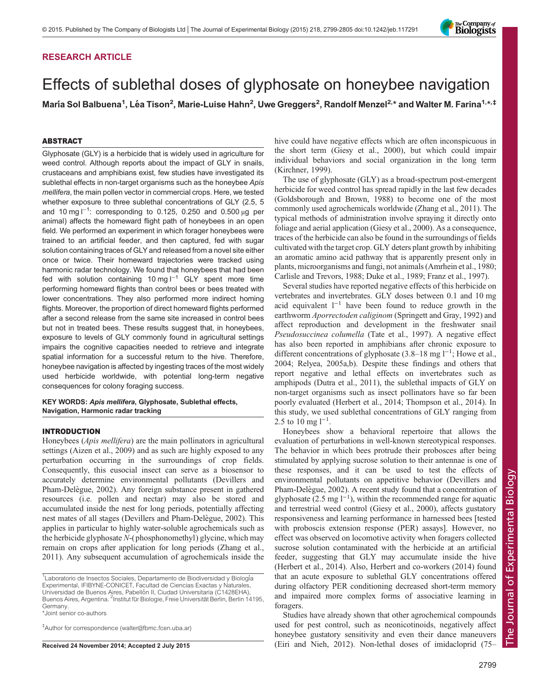# RESEARCH ARTICLE

# Effects of sublethal doses of glyphosate on honeybee navigation

María Sol Balbuena<sup>1</sup>, Léa Tison<sup>2</sup>, Marie-Luise Hahn<sup>2</sup>, Uwe Greggers<sup>2</sup>, Randolf Menzel<sup>2,\*</sup> and Walter M. Farina<sup>1,\*,‡</sup>

# ABSTRACT

Glyphosate (GLY) is a herbicide that is widely used in agriculture for weed control. Although reports about the impact of GLY in snails, crustaceans and amphibians exist, few studies have investigated its sublethal effects in non-target organisms such as the honeybee Apis mellifera, the main pollen vector in commercial crops. Here, we tested whether exposure to three sublethal concentrations of GLY (2.5, 5 and 10 mg l<sup>-1</sup>: corresponding to 0.125, 0.250 and 0.500 μg per animal) affects the homeward flight path of honeybees in an open field. We performed an experiment in which forager honeybees were trained to an artificial feeder, and then captured, fed with sugar solution containing traces of GLY and released from a novel site either once or twice. Their homeward trajectories were tracked using harmonic radar technology. We found that honeybees that had been fed with solution containing 10 mg l−<sup>1</sup> GLY spent more time performing homeward flights than control bees or bees treated with lower concentrations. They also performed more indirect homing flights. Moreover, the proportion of direct homeward flights performed after a second release from the same site increased in control bees but not in treated bees. These results suggest that, in honeybees, exposure to levels of GLY commonly found in agricultural settings impairs the cognitive capacities needed to retrieve and integrate spatial information for a successful return to the hive. Therefore, honeybee navigation is affected by ingesting traces of the most widely used herbicide worldwide, with potential long-term negative consequences for colony foraging success.

# KEY WORDS: Apis mellifera, Glyphosate, Sublethal effects, Navigation, Harmonic radar tracking

### INTRODUCTION

Honeybees (Apis mellifera) are the main pollinators in agricultural settings [\(Aizen et al., 2009](#page-5-0)) and as such are highly exposed to any perturbation occurring in the surroundings of crop fields. Consequently, this eusocial insect can serve as a biosensor to accurately determine environmental pollutants [\(Devillers and](#page-6-0) Pham-Delègue, 2002). Any foreign substance present in gathered resources (i.e. pollen and nectar) may also be stored and accumulated inside the nest for long periods, potentially affecting nest mates of all stages (Devillers and Pham-Delègue, 2002). This applies in particular to highly water-soluble agrochemicals such as the herbicide glyphosate N-( phosphonomethyl) glycine, which may remain on crops after application for long periods [\(Zhang et al.,](#page-6-0) [2011](#page-6-0)). Any subsequent accumulation of agrochemicals inside the

\*Joint senior co-authors

‡ Author for correspondence ([walter@fbmc.fcen.uba.ar\)](mailto:walter@fbmc.fcen.uba.ar)

hive could have negative effects which are often inconspicuous in the short term ([Giesy et al., 2000](#page-6-0)), but which could impair individual behaviors and social organization in the long term [\(Kirchner, 1999](#page-6-0)).

The use of glyphosate (GLY) as a broad-spectrum post-emergent herbicide for weed control has spread rapidly in the last few decades [\(Goldsborough and Brown, 1988\)](#page-6-0) to become one of the most commonly used agrochemicals worldwide ([Zhang et al., 2011\)](#page-6-0). The typical methods of administration involve spraying it directly onto foliage and aerial application ([Giesy et al., 2000](#page-6-0)). As a consequence, traces of the herbicide can also be found in the surroundings of fields cultivated with the target crop. GLY deters plant growth by inhibiting an aromatic amino acid pathway that is apparently present only in plants, microorganisms and fungi, not animals [\(Amrhein et al., 1980](#page-5-0); [Carlisle and Trevors, 1988](#page-6-0); [Duke et al., 1989; Franz et al., 1997\)](#page-6-0).

Several studies have reported negative effects of this herbicide on vertebrates and invertebrates. GLY doses between 0.1 and 10 mg acid equivalent l−<sup>1</sup> have been found to reduce growth in the earthworm Aporrectoden caliginom [\(Springett and Gray, 1992](#page-6-0)) and affect reproduction and development in the freshwater snail Pseudosuccinea columella ([Tate et al., 1997\)](#page-6-0). A negative effect has also been reported in amphibians after chronic exposure to different concentrations of glyphosate (3.8–18 mg l−<sup>1</sup> ; [Howe et al.,](#page-6-0) [2004; Relyea, 2005a](#page-6-0),[b](#page-6-0)). Despite these findings and others that report negative and lethal effects on invertebrates such as amphipods ([Dutra et al., 2011](#page-6-0)), the sublethal impacts of GLY on non-target organisms such as insect pollinators have so far been poorly evaluated [\(Herbert et al., 2014; Thompson et al., 2014\)](#page-6-0). In this study, we used sublethal concentrations of GLY ranging from 2.5 to 10 mg  $1^{-1}$ .

Honeybees show a behavioral repertoire that allows the evaluation of perturbations in well-known stereotypical responses. The behavior in which bees protrude their probosces after being stimulated by applying sucrose solution to their antennae is one of these responses, and it can be used to test the effects of environmental pollutants on appetitive behavior ([Devillers and](#page-6-0) Pham-Delègue, 2002). A recent study found that a concentration of glyphosate (2.5 mg  $l^{-1}$ ), within the recommended range for aquatic and terrestrial weed control ([Giesy et al., 2000](#page-6-0)), affects gustatory responsiveness and learning performance in harnessed bees [tested with proboscis extension response (PER) assays]. However, no effect was observed on locomotive activity when foragers collected sucrose solution contaminated with the herbicide at an artificial feeder, suggesting that GLY may accumulate inside the hive [\(Herbert et al., 2014\)](#page-6-0). Also, [Herbert and co-workers \(2014\)](#page-6-0) found that an acute exposure to sublethal GLY concentrations offered during olfactory PER conditioning decreased short-term memory and impaired more complex forms of associative learning in foragers.

Studies have already shown that other agrochemical compounds used for pest control, such as neonicotinoids, negatively affect honeybee gustatory sensitivity and even their dance maneuvers Received 24 November 2014; Accepted 2 July 2015 [\(Eiri and Nieh, 2012](#page-6-0)). Non-lethal doses of imidacloprid (75–



<sup>&</sup>lt;sup>1</sup>Laboratorio de Insectos Sociales, Departamento de Biodiversidad y Biología Experimental, IFIBYNE-CONICET, Facultad de Ciencias Exactas y Naturales, Universidad de Buenos Aires, Pabellón II, Ciudad Universitaria (C1428EHA), Buenos Aires, Argentina. <sup>2</sup>Institut für Biologie, Freie Universität Berlin, Berlin 14195, Germany.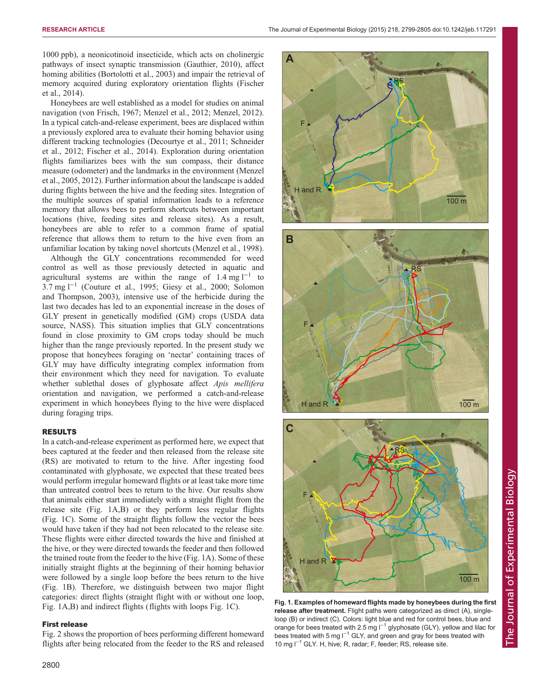1000 ppb), a neonicotinoid insecticide, which acts on cholinergic pathways of insect synaptic transmission [\(Gauthier, 2010\)](#page-6-0), affect homing abilities ([Bortolotti et al., 2003\)](#page-6-0) and impair the retrieval of memory acquired during exploratory orientation flights [\(Fischer](#page-6-0) [et al., 2014\)](#page-6-0).

Honeybees are well established as a model for studies on animal navigation [\(von Frisch, 1967; Menzel et al., 2012; Menzel, 2012\)](#page-6-0). In a typical catch-and-release experiment, bees are displaced within a previously explored area to evaluate their homing behavior using different tracking technologies ([Decourtye et al., 2011; Schneider](#page-6-0) [et al., 2012; Fischer et al., 2014](#page-6-0)). Exploration during orientation flights familiarizes bees with the sun compass, their distance measure (odometer) and the landmarks in the environment ([Menzel](#page-6-0) [et al., 2005, 2012\)](#page-6-0). Further information about the landscape is added during flights between the hive and the feeding sites. Integration of the multiple sources of spatial information leads to a reference memory that allows bees to perform shortcuts between important locations (hive, feeding sites and release sites). As a result, honeybees are able to refer to a common frame of spatial reference that allows them to return to the hive even from an unfamiliar location by taking novel shortcuts [\(Menzel et al., 1998\)](#page-6-0).

Although the GLY concentrations recommended for weed control as well as those previously detected in aquatic and agricultural systems are within the range of  $1.4 \text{ mg } l^{-1}$  to 3.7 mg l−<sup>1</sup> ([Couture et al., 1995; Giesy et al., 2000](#page-6-0); [Solomon](#page-6-0) [and Thompson, 2003](#page-6-0)), intensive use of the herbicide during the last two decades has led to an exponential increase in the doses of GLY present in genetically modified (GM) crops [\(USDA data](#page-6-0) [source, NASS\)](#page-6-0). This situation implies that GLY concentrations found in close proximity to GM crops today should be much higher than the range previously reported. In the present study we propose that honeybees foraging on 'nectar' containing traces of GLY may have difficulty integrating complex information from their environment which they need for navigation. To evaluate whether sublethal doses of glyphosate affect Apis mellifera orientation and navigation, we performed a catch-and-release experiment in which honeybees flying to the hive were displaced during foraging trips.

# RESULTS

In a catch-and-release experiment as performed here, we expect that bees captured at the feeder and then released from the release site (RS) are motivated to return to the hive. After ingesting food contaminated with glyphosate, we expected that these treated bees would perform irregular homeward flights or at least take more time than untreated control bees to return to the hive. Our results show that animals either start immediately with a straight flight from the release site (Fig. 1A,B) or they perform less regular flights (Fig. 1C). Some of the straight flights follow the vector the bees would have taken if they had not been relocated to the release site. These flights were either directed towards the hive and finished at the hive, or they were directed towards the feeder and then followed the trained route from the feeder to the hive (Fig. 1A). Some of these initially straight flights at the beginning of their homing behavior were followed by a single loop before the bees return to the hive (Fig. 1B). Therefore, we distinguish between two major flight categories: direct flights (straight flight with or without one loop, Fig. 1A,B) and indirect flights (flights with loops Fig. 1C).

# First release

[Fig. 2](#page-2-0) shows the proportion of bees performing different homeward flights after being relocated from the feeder to the RS and released







Fig. 1. Examples of homeward flights made by honeybees during the first release after treatment. Flight paths were categorized as direct (A), singleloop (B) or indirect (C). Colors: light blue and red for control bees, blue and orange for bees treated with 2.5 mg l<sup>-1</sup> glyphosate (GLY), yellow and lilac for bees treated with 5 mg l<sup>-1</sup> GLY, and green and gray for bees treated with 10 mg l−<sup>1</sup> GLY. H, hive; R, radar; F, feeder; RS, release site.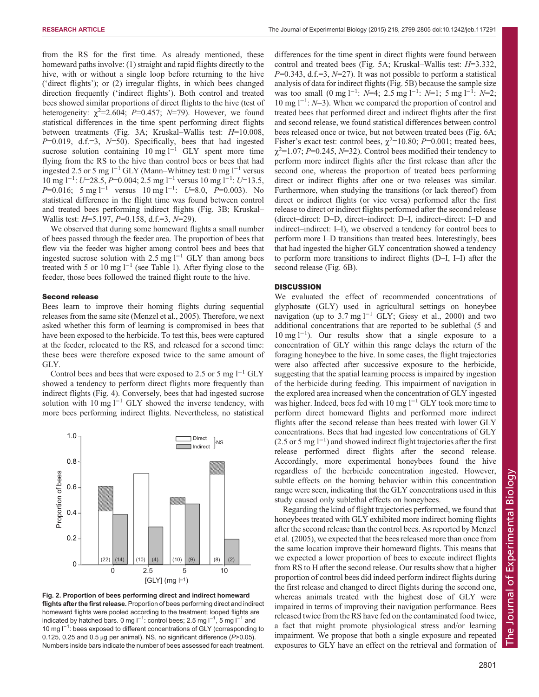<span id="page-2-0"></span>RESEARCH ARTICLE **The Journal of Experimental Biology (2015)** 218, 2799-2805 doi:10.1242/jeb.117291

from the RS for the first time. As already mentioned, these homeward paths involve: (1) straight and rapid flights directly to the hive, with or without a single loop before returning to the hive ('direct flights'); or (2) irregular flights, in which bees changed direction frequently ('indirect flights'). Both control and treated bees showed similar proportions of direct flights to the hive (test of heterogeneity:  $\chi^2 = 2.604$ ;  $P = 0.457$ ;  $N = 79$ ). However, we found statistical differences in the time spent performing direct flights between treatments ([Fig. 3](#page-3-0)A; Kruskal–Wallis test: H=10.008,  $P=0.019$ , d.f.=3,  $N=50$ ). Specifically, bees that had ingested sucrose solution containing 10 mg l<sup>-1</sup> GLY spent more time flying from the RS to the hive than control bees or bees that had ingested 2.5 or 5 mg  $1^{-1}$  GLY (Mann–Whitney test: 0 mg  $1^{-1}$  versus 10 mg l<sup>-1</sup>: U=28.5, P=0.004; 2.5 mg l<sup>-1</sup> versus 10 mg l<sup>-1</sup>: U=13.5, P=0.016; 5 mg l<sup>-1</sup> versus 10 mg l<sup>-1</sup>: U=8.0, P=0.003). No statistical difference in the flight time was found between control and treated bees performing indirect flights ([Fig. 3](#page-3-0)B; Kruskal– Wallis test: *H*=5.197, *P*=0.158, d.f.=3, *N*=29).

We observed that during some homeward flights a small number of bees passed through the feeder area. The proportion of bees that flew via the feeder was higher among control bees and bees that ingested sucrose solution with 2.5 mg  $l^{-1}$  GLY than among bees treated with 5 or 10 mg  $l^{-1}$  (see [Table 1](#page-3-0)). After flying close to the feeder, those bees followed the trained flight route to the hive.

#### Second release

Bees learn to improve their homing flights during sequential releases from the same site ([Menzel et al., 2005](#page-6-0)). Therefore, we next asked whether this form of learning is compromised in bees that have been exposed to the herbicide. To test this, bees were captured at the feeder, relocated to the RS, and released for a second time: these bees were therefore exposed twice to the same amount of GLY.

Control bees and bees that were exposed to 2.5 or 5 mg  $l^{-1}$  GLY showed a tendency to perform direct flights more frequently than indirect flights ([Fig. 4\)](#page-3-0). Conversely, bees that had ingested sucrose solution with 10 mg  $l^{-1}$  GLY showed the inverse tendency, with more bees performing indirect flights. Nevertheless, no statistical



Fig. 2. Proportion of bees performing direct and indirect homeward flights after the first release. Proportion of bees performing direct and indirect homeward flights were pooled according to the treatment; looped flights are indicated by hatched bars. 0 mg l<sup>−1</sup>: control bees; 2.5 mg l<sup>−1</sup>, 5 mg l<sup>−1</sup> and 10 mg l<sup>-1</sup>: bees exposed to different concentrations of GLY (corresponding to 0.125, 0.25 and 0.5 μg per animal). NS, no significant difference  $(P>0.05)$ . Numbers inside bars indicate the number of bees assessed for each treatment.

differences for the time spent in direct flights were found between control and treated bees [\(Fig. 5](#page-4-0)A; Kruskal–Wallis test: H=3.332,  $P=0.343$ , d.f.=3,  $N=27$ ). It was not possible to perform a statistical analysis of data for indirect flights ([Fig. 5](#page-4-0)B) because the sample size was too small  $(0 \text{ mg } 1^{-1}$ :  $N=4$ ; 2.5 mg  $1^{-1}$ :  $N=1$ ; 5 mg  $1^{-1}$ :  $N=2$ ; 10 mg l−<sup>1</sup> : N=3). When we compared the proportion of control and treated bees that performed direct and indirect flights after the first and second release, we found statistical differences between control bees released once or twice, but not between treated bees [\(Fig. 6A](#page-4-0); Fisher's exact test: control bees,  $\chi^2$ =10.80; P=0.001; treated bees,  $\chi^2$ =1.07; P=0.245, N=32). Control bees modified their tendency to perform more indirect flights after the first release than after the second one, whereas the proportion of treated bees performing direct or indirect flights after one or two releases was similar. Furthermore, when studying the transitions (or lack thereof) from direct or indirect flights (or vice versa) performed after the first release to direct or indirect flights performed after the second release (direct–direct: D–D, direct–indirect: D–I, indirect–direct: I–D and indirect–indirect: I–I), we observed a tendency for control bees to perform more I–D transitions than treated bees. Interestingly, bees that had ingested the higher GLY concentration showed a tendency to perform more transitions to indirect flights (D–I, I–I) after the second release [\(Fig. 6B](#page-4-0)).

# **DISCUSSION**

We evaluated the effect of recommended concentrations of glyphosate (GLY) used in agricultural settings on honeybee navigation (up to 3.7 mg  $l^{-1}$  GLY; [Giesy et al., 2000\)](#page-6-0) and two additional concentrations that are reported to be sublethal (5 and 10 mg l−<sup>1</sup> ). Our results show that a single exposure to a concentration of GLY within this range delays the return of the foraging honeybee to the hive. In some cases, the flight trajectories were also affected after successive exposure to the herbicide, suggesting that the spatial learning process is impaired by ingestion of the herbicide during feeding. This impairment of navigation in the explored area increased when the concentration of GLY ingested was higher. Indeed, bees fed with 10 mg  $l^{-1}$  GLY took more time to perform direct homeward flights and performed more indirect flights after the second release than bees treated with lower GLY concentrations. Bees that had ingested low concentrations of GLY (2.5 or 5 mg l−<sup>1</sup> ) and showed indirect flight trajectories after the first release performed direct flights after the second release. Accordingly, more experimental honeybees found the hive regardless of the herbicide concentration ingested. However, subtle effects on the homing behavior within this concentration range were seen, indicating that the GLY concentrations used in this study caused only sublethal effects on honeybees.

Regarding the kind of flight trajectories performed, we found that honeybees treated with GLY exhibited more indirect homing flights after the second release than the control bees. As reported by [Menzel](#page-6-0) et al. [\(2005\)](#page-6-0), we expected that the bees released more than once from the same location improve their homeward flights. This means that we expected a lower proportion of bees to execute indirect flights from RS to H after the second release. Our results show that a higher proportion of control bees did indeed perform indirect flights during the first release and changed to direct flights during the second one, whereas animals treated with the highest dose of GLY were impaired in terms of improving their navigation performance. Bees released twice from the RS have fed on the contaminated food twice, a fact that might promote physiological stress and/or learning impairment. We propose that both a single exposure and repeated exposures to GLY have an effect on the retrieval and formation of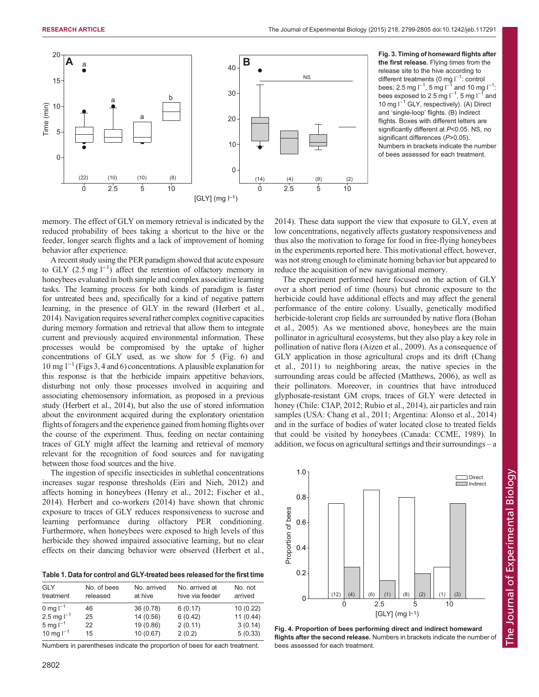<span id="page-3-0"></span>

Fig. 3. Timing of homeward flights after the first release. Flying times from the release site to the hive according to different treatments (0 mg l<sup>-1</sup>: control bees; 2.5 mg l<sup>−1</sup>, 5 mg l<sup>−1</sup> and 10 mg l<sup>−1</sup>: bees exposed to 2.5 mg l<sup>−1</sup>, 5 mg l<sup>−1</sup> and 10 mg l<sup>−1</sup> GLY, respectively). (A) Direct and 'single-loop' flights. (B) Indirect flights. Boxes with different letters are significantly different at P<0.05. NS, no significant differences (P>0.05). Numbers in brackets indicate the number of bees assessed for each treatment.

memory. The effect of GLY on memory retrieval is indicated by the reduced probability of bees taking a shortcut to the hive or the feeder, longer search flights and a lack of improvement of homing behavior after experience.

A recent study using the PER paradigm showed that acute exposure to GLY  $(2.5 \text{ mg l}^{-1})$  affect the retention of olfactory memory in honeybees evaluated in both simple and complex associative learning tasks. The learning process for both kinds of paradigm is faster for untreated bees and, specifically for a kind of negative pattern learning, in the presence of GLY in the reward [\(Herbert et al.,](#page-6-0) [2014\)](#page-6-0). Navigation requires several rather complex cognitive capacities during memory formation and retrieval that allow them to integrate current and previously acquired environmental information. These processes would be compromised by the uptake of higher concentrations of GLY used, as we show for 5 [\(Fig. 6](#page-4-0)) and 10 mg l−<sup>1</sup> (Figs 3, 4 and [6\)](#page-4-0) concentrations. A plausible explanation for this response is that the herbicide impairs appetitive behaviors, disturbing not only those processes involved in acquiring and associating chemosensory information, as proposed in a previous study [\(Herbert et al., 2014](#page-6-0)), but also the use of stored information about the environment acquired during the exploratory orientation flights of foragers and the experience gained from homing flights over the course of the experiment. Thus, feeding on nectar containing traces of GLY might affect the learning and retrieval of memory relevant for the recognition of food sources and for navigating between those food sources and the hive.

The ingestion of specific insecticides in sublethal concentrations increases sugar response thresholds [\(Eiri and Nieh, 2012](#page-6-0)) and affects homing in honeybees [\(Henry et al., 2012; Fischer et al.,](#page-6-0) [2014](#page-6-0)). [Herbert and co-workers \(2014\)](#page-6-0) have shown that chronic exposure to traces of GLY reduces responsiveness to sucrose and learning performance during olfactory PER conditioning. Furthermore, when honeybees were exposed to high levels of this herbicide they showed impaired associative learning, but no clear effects on their dancing behavior were observed [\(Herbert et al.,](#page-6-0)

Table 1. Data for control and GLY-treated bees released for the first time

| <b>GLY</b><br>treatment | No. of bees<br>released | No. arrived<br>at hive | No. arrived at<br>hive via feeder | No. not<br>arrived |
|-------------------------|-------------------------|------------------------|-----------------------------------|--------------------|
| 0 mg $I^{-1}$           | 46                      | 36 (0.78)              | 6(0.17)                           | 10(0.22)           |
| 2.5 mg $I^{-1}$         | 25                      | 14(0.56)               | 6(0.42)                           | 11(0.44)           |
| 5 mg $I^{-1}$           | 22                      | 19 (0.86)              | 2(0.11)                           | 3(0.14)            |
| 10 mg $I^{-1}$          | 15                      | 10(0.67)               | 2(0.2)                            | 5(0.33)            |

Numbers in parentheses indicate the proportion of bees for each treatment.

[2014\)](#page-6-0). These data support the view that exposure to GLY, even at low concentrations, negatively affects gustatory responsiveness and thus also the motivation to forage for food in free-flying honeybees in the experiments reported here. This motivational effect, however, was not strong enough to eliminate homing behavior but appeared to reduce the acquisition of new navigational memory.

The experiment performed here focused on the action of GLY over a short period of time (hours) but chronic exposure to the herbicide could have additional effects and may affect the general performance of the entire colony. Usually, genetically modified herbicide-tolerant crop fields are surrounded by native flora [\(Bohan](#page-6-0) [et al., 2005\)](#page-6-0). As we mentioned above, honeybees are the main pollinator in agricultural ecosystems, but they also play a key role in pollination of native flora ([Aizen et al., 2009](#page-5-0)). As a consequence of GLY application in those agricultural crops and its drift [\(Chang](#page-6-0) [et al., 2011\)](#page-6-0) to neighboring areas, the native species in the surrounding areas could be affected ([Matthews, 2006](#page-6-0)), as well as their pollinators. Moreover, in countries that have introduced glyphosate-resistant GM crops, traces of GLY were detected in honey (Chile: [CIAP, 2012; Rubio et al., 2014\)](#page-6-0), air particles and rain samples (USA: [Chang et al., 2011](#page-6-0); Argentina: [Alonso et al., 2014\)](#page-5-0) and in the surface of bodies of water located close to treated fields that could be visited by honeybees (Canada: [CCME, 1989](#page-6-0)). In addition, we focus on agricultural settings and their surroundings – a



Fig. 4. Proportion of bees performing direct and indirect homeward flights after the second release. Numbers in brackets indicate the number of bees assessed for each treatment.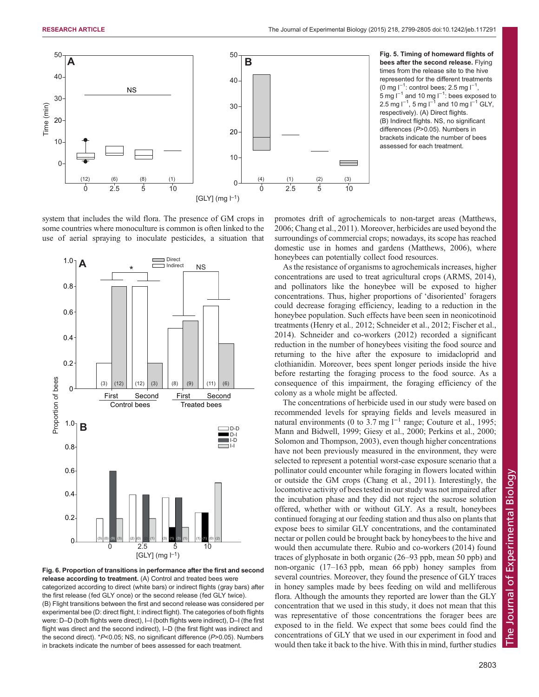<span id="page-4-0"></span>

Fig. 5. Timing of homeward flights of bees after the second release. Flying times from the release site to the hive represented for the different treatments (0 mg  $I^{-1}$ : control bees; 2.5 mg  $I^{-1}$ , 5 mg l<sup> $-1$ </sup> and 10 mg l<sup> $-1$ </sup>: bees exposed to 2.5 mg l<sup>−1</sup>, 5 mg l<sup>−1</sup> and 10 mg l<sup>−1</sup> GLY, respectively). (A) Direct flights. (B) Indirect flights. NS, no significant differences (P>0.05). Numbers in brackets indicate the number of bees assessed for each treatment.

system that includes the wild flora. The presence of GM crops in some countries where monoculture is common is often linked to the use of aerial spraying to inoculate pesticides, a situation that



Fig. 6. Proportion of transitions in performance after the first and second release according to treatment. (A) Control and treated bees were categorized according to direct (white bars) or indirect flights (gray bars) after

the first release (fed GLY once) or the second release (fed GLY twice). (B) Flight transitions between the first and second release was considered per

experimental bee (D: direct flight, I: indirect flight). The categories of both flights were: D–D (both flights were direct), I–I (both flights were indirect), D–I (the first flight was direct and the second indirect), I–D (the first flight was indirect and the second direct). \*P<0.05; NS, no significant difference (P>0.05). Numbers in brackets indicate the number of bees assessed for each treatment.

promotes drift of agrochemicals to non-target areas ([Matthews,](#page-6-0) [2006; Chang et al., 2011\)](#page-6-0). Moreover, herbicides are used beyond the surroundings of commercial crops; nowadays, its scope has reached domestic use in homes and gardens [\(Matthews, 2006\)](#page-6-0), where honeybees can potentially collect food resources.

As the resistance of organisms to agrochemicals increases, higher concentrations are used to treat agricultural crops [\(ARMS, 2014\)](#page-6-0), and pollinators like the honeybee will be exposed to higher concentrations. Thus, higher proportions of 'disoriented' foragers could decrease foraging efficiency, leading to a reduction in the honeybee population. Such effects have been seen in neonicotinoid treatments ([Henry et al](#page-6-0)., 2012; [Schneider et al., 2012](#page-6-0); [Fischer et al.,](#page-6-0) [2014\)](#page-6-0). [Schneider and co-workers \(2012\)](#page-6-0) recorded a significant reduction in the number of honeybees visiting the food source and returning to the hive after the exposure to imidacloprid and clothianidin. Moreover, bees spent longer periods inside the hive before restarting the foraging process to the food source. As a consequence of this impairment, the foraging efficiency of the colony as a whole might be affected.

The concentrations of herbicide used in our study were based on recommended levels for spraying fields and levels measured in natural environments (0 to  $3.7 \text{ mg}$  l<sup>-1</sup> range; [Couture et al., 1995](#page-6-0); [Mann and Bidwell, 1999; Giesy et al., 2000](#page-6-0); Perkins et al., 2000; [Solomon and Thompson, 2003\)](#page-6-0), even though higher concentrations have not been previously measured in the environment, they were selected to represent a potential worst-case exposure scenario that a pollinator could encounter while foraging in flowers located within or outside the GM crops [\(Chang et al](#page-6-0)., 2011). Interestingly, the locomotive activity of bees tested in our study was not impaired after the incubation phase and they did not reject the sucrose solution offered, whether with or without GLY. As a result, honeybees continued foraging at our feeding station and thus also on plants that expose bees to similar GLY concentrations, and the contaminated nectar or pollen could be brought back by honeybees to the hive and would then accumulate there. [Rubio and co-workers \(2014\)](#page-6-0) found traces of glyphosate in both organic (26–93 ppb, mean 50 ppb) and non-organic (17–163 ppb, mean 66 ppb) honey samples from several countries. Moreover, they found the presence of GLY traces in honey samples made by bees feeding on wild and melliferous flora. Although the amounts they reported are lower than the GLY concentration that we used in this study, it does not mean that this was representative of those concentrations the forager bees are exposed to in the field. We expect that some bees could find the concentrations of GLY that we used in our experiment in food and would then take it back to the hive. With this in mind, further studies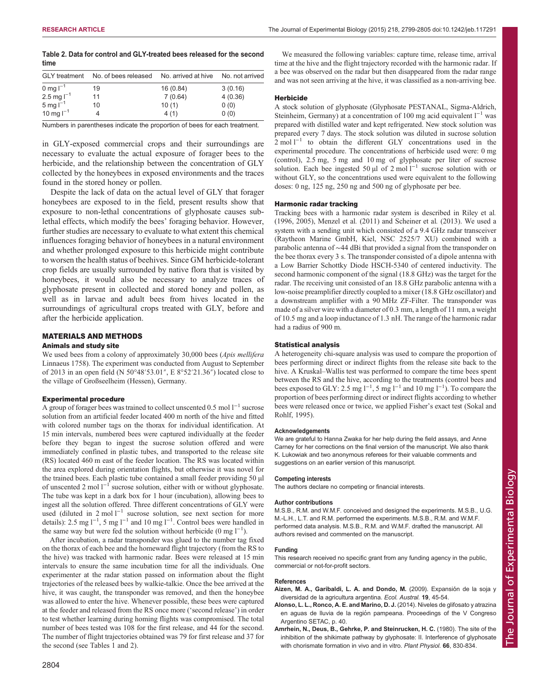<span id="page-5-0"></span>

|      |  | Table 2. Data for control and GLY-treated bees released for the second |
|------|--|------------------------------------------------------------------------|
| time |  |                                                                        |

| <b>GLY</b> treatment      | No. of bees released | No. arrived at hive | No. not arrived |
|---------------------------|----------------------|---------------------|-----------------|
| 0 mg $I^{-1}$             | 19                   | 16 (0.84)           | 3(0.16)         |
| $2.5 \text{ mg}$ $1^{-1}$ | 11                   | 7(0.64)             | 4(0.36)         |
| $5 \text{ mg}$ $I^{-1}$   | 10                   | 10(1)               | 0(0)            |
| 10 mg $I^{-1}$            |                      | 4(1)                | 0(0)            |

Numbers in parentheses indicate the proportion of bees for each treatment.

in GLY-exposed commercial crops and their surroundings are necessary to evaluate the actual exposure of forager bees to the herbicide, and the relationship between the concentration of GLY collected by the honeybees in exposed environments and the traces found in the stored honey or pollen.

Despite the lack of data on the actual level of GLY that forager honeybees are exposed to in the field, present results show that exposure to non-lethal concentrations of glyphosate causes sublethal effects, which modify the bees' foraging behavior. However, further studies are necessary to evaluate to what extent this chemical influences foraging behavior of honeybees in a natural environment and whether prolonged exposure to this herbicide might contribute to worsen the health status of beehives. Since GM herbicide-tolerant crop fields are usually surrounded by native flora that is visited by honeybees, it would also be necessary to analyze traces of glyphosate present in collected and stored honey and pollen, as well as in larvae and adult bees from hives located in the surroundings of agricultural crops treated with GLY, before and after the herbicide application.

# MATERIALS AND METHODS

#### Animals and study site

We used bees from a colony of approximately 30,000 bees (*Apis mellifera*) Linnaeus 1758). The experiment was conducted from August to September of 2013 in an open field (N 50°48′53.01″, E 8°52′21.36″) located close to the village of Großseelheim (Hessen), Germany.

#### Experimental procedure

A group of forager bees was trained to collect unscented 0.5 mol  $l^{-1}$  sucrose solution from an artificial feeder located 400 m north of the hive and fitted with colored number tags on the thorax for individual identification. At 15 min intervals, numbered bees were captured individually at the feeder before they began to ingest the sucrose solution offered and were immediately confined in plastic tubes, and transported to the release site (RS) located 460 m east of the feeder location. The RS was located within the area explored during orientation flights, but otherwise it was novel for the trained bees. Each plastic tube contained a small feeder providing 50 µl of unscented 2 mol l−<sup>1</sup> sucrose solution, either with or without glyphosate. The tube was kept in a dark box for 1 hour (incubation), allowing bees to ingest all the solution offered. Three different concentrations of GLY were used (diluted in 2 mol l−<sup>1</sup> sucrose solution, see next section for more details): 2.5 mg l<sup>-1</sup>, 5 mg l<sup>-1</sup> and 10 mg l<sup>-1</sup>. Control bees were handled in the same way but were fed the solution without herbicide (0 mg  $l^{-1}$ ).

After incubation, a radar transponder was glued to the number tag fixed on the thorax of each bee and the homeward flight trajectory (from the RS to the hive) was tracked with harmonic radar. Bees were released at 15 min intervals to ensure the same incubation time for all the individuals. One experimenter at the radar station passed on information about the flight trajectories of the released bees by walkie-talkie. Once the bee arrived at the hive, it was caught, the transponder was removed, and then the honeybee was allowed to enter the hive. Whenever possible, these bees were captured at the feeder and released from the RS once more ('second release') in order to test whether learning during homing flights was compromised. The total number of bees tested was 108 for the first release, and 44 for the second. The number of flight trajectories obtained was 79 for first release and 37 for the second (see [Tables 1](#page-3-0) and 2).

We measured the following variables: capture time, release time, arrival time at the hive and the flight trajectory recorded with the harmonic radar. If a bee was observed on the radar but then disappeared from the radar range and was not seen arriving at the hive, it was classified as a non-arriving bee.

#### **Herbicide**

A stock solution of glyphosate (Glyphosate PESTANAL, Sigma-Aldrich, Steinheim, Germany) at a concentration of 100 mg acid equivalent  $l^{-1}$  was prepared with distilled water and kept refrigerated. New stock solution was prepared every 7 days. The stock solution was diluted in sucrose solution  $2 \text{ mol } l^{-1}$  to obtain the different GLY concentrations used in the experimental procedure. The concentrations of herbicide used were: 0 mg (control), 2.5 mg, 5 mg and 10 mg of glyphosate per liter of sucrose solution. Each bee ingested 50 µl of 2 mol  $l^{-1}$  sucrose solution with or without GLY, so the concentrations used were equivalent to the following doses: 0 ng, 125 ng, 250 ng and 500 ng of glyphosate per bee.

# Harmonic radar tracking

Tracking bees with a harmonic radar system is described in [Riley et al](#page-6-0). [\(1996, 2005\)](#page-6-0), [Menzel et al](#page-6-0). (2011) and [Scheiner et al](#page-6-0). (2013). We used a system with a sending unit which consisted of a 9.4 GHz radar transceiver (Raytheon Marine GmbH, Kiel, NSC 2525/7 XU) combined with a parabolic antenna of ∼44 dBi that provided a signal from the transponder on the bee thorax every 3 s. The transponder consisted of a dipole antenna with a Low Barrier Schottky Diode HSCH-5340 of centered inductivity. The second harmonic component of the signal (18.8 GHz) was the target for the radar. The receiving unit consisted of an 18.8 GHz parabolic antenna with a low-noise preamplifier directly coupled to a mixer (18.8 GHz oscillator) and a downstream amplifier with a 90 MHz ZF-Filter. The transponder was made of a silver wire with a diameter of 0.3 mm, a length of 11 mm, a weight of 10.5 mg and a loop inductance of 1.3 nH. The range of the harmonic radar had a radius of 900 m.

# Statistical analysis

A heterogeneity chi-square analysis was used to compare the proportion of bees performing direct or indirect flights from the release site back to the hive. A Kruskal–Wallis test was performed to compare the time bees spent between the RS and the hive, according to the treatments (control bees and bees exposed to GLY: 2.5 mg l<sup>-1</sup>, 5 mg l<sup>-1</sup> and 10 mg l<sup>-1</sup>). To compare the proportion of bees performing direct or indirect flights according to whether bees were released once or twice, we applied Fisher's exact test [\(Sokal and](#page-6-0) [Rohlf, 1995\)](#page-6-0).

#### Acknowledgements

We are grateful to Hanna Zwaka for her help during the field assays, and Anne Carney for her corrections on the final version of the manuscript. We also thank K. Lukowiak and two anonymous referees for their valuable comments and suggestions on an earlier version of this manuscript.

#### Competing interests

The authors declare no competing or financial interests.

#### Author contributions

M.S.B., R.M. and W.M.F. conceived and designed the experiments. M.S.B., U.G. M.-L.H., L.T. and R.M. performed the experiments. M.S.B., R.M. and W.M.F. performed data analysis. M.S.B., R.M. and W.M.F. drafted the manuscript. All authors revised and commented on the manuscript.

#### Funding

This research received no specific grant from any funding agency in the public, commercial or not-for-profit sectors.

#### References

- Aizen, M. A., Garibaldi, L. A. and Dondo, M. (2009). Expansión de la soja y diversidad de la agricultura argentina. Ecol. Austral. 19, 45-54.
- Alonso, L. L., Ronco, A. E. and Marino, D. J. (2014). Niveles de glifosato y atrazina en aguas de lluvia de la región pampeana. Proceedings of the V Congreso Argentino SETAC, p. 40.
- [Amrhein, N., Deus, B., Gehrke, P. and Steinrucken, H. C.](http://dx.doi.org/10.1104/pp.66.5.830) (1980). The site of the [inhibition of the shikimate pathway by glyphosate: II. Interference of glyphosate](http://dx.doi.org/10.1104/pp.66.5.830) [with chorismate formation in vivo and in vitro.](http://dx.doi.org/10.1104/pp.66.5.830) Plant Physiol. 66, 830-834.